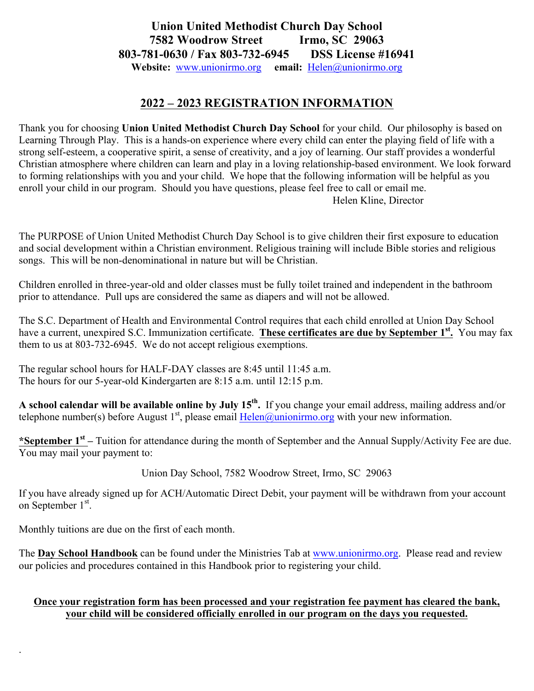## **Union United Methodist Church Day School 7582 Woodrow Street Irmo, SC 29063 803-781-0630 / Fax 803-732-6945 DSS License #16941 Website:** www.unionirmo.org **email:** Helen@unionirmo.org

## **2022 – 2023 REGISTRATION INFORMATION**

Thank you for choosing **Union United Methodist Church Day School** for your child. Our philosophy is based on Learning Through Play. This is a hands-on experience where every child can enter the playing field of life with a strong self-esteem, a cooperative spirit, a sense of creativity, and a joy of learning. Our staff provides a wonderful Christian atmosphere where children can learn and play in a loving relationship-based environment. We look forward to forming relationships with you and your child. We hope that the following information will be helpful as you enroll your child in our program. Should you have questions, please feel free to call or email me. Helen Kline, Director

The PURPOSE of Union United Methodist Church Day School is to give children their first exposure to education and social development within a Christian environment. Religious training will include Bible stories and religious songs. This will be non-denominational in nature but will be Christian.

Children enrolled in three-year-old and older classes must be fully toilet trained and independent in the bathroom prior to attendance. Pull ups are considered the same as diapers and will not be allowed.

The S.C. Department of Health and Environmental Control requires that each child enrolled at Union Day School have a current, unexpired S.C. Immunization certificate. **These certificates are due by September 1st.** You may fax them to us at 803-732-6945. We do not accept religious exemptions.

The regular school hours for HALF-DAY classes are 8:45 until 11:45 a.m. The hours for our 5-year-old Kindergarten are 8:15 a.m. until 12:15 p.m.

**A school calendar will be available online by July 15th.** If you change your email address, mailing address and/or telephone number(s) before August 1<sup>st</sup>, please email  $Helen@unionirmo.org$  with your new information.

**\*September 1st –** Tuition for attendance during the month of September and the Annual Supply/Activity Fee are due. You may mail your payment to:

Union Day School, 7582 Woodrow Street, Irmo, SC 29063

If you have already signed up for ACH/Automatic Direct Debit, your payment will be withdrawn from your account on September 1<sup>st</sup>.

Monthly tuitions are due on the first of each month.

.

The **Day School Handbook** can be found under the Ministries Tab at www.unionirmo.org. Please read and review our policies and procedures contained in this Handbook prior to registering your child.

## **Once your registration form has been processed and your registration fee payment has cleared the bank, your child will be considered officially enrolled in our program on the days you requested.**